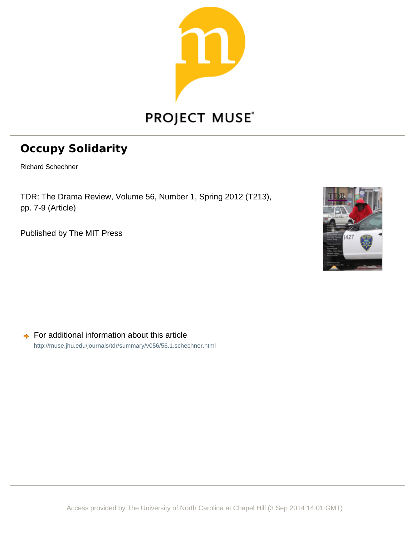

## **2Example 25 Polidarity**

Richard Schechner

TDR: The Drama Review, Volume 56, Number 1, Spring 2012 (T213), pp. 7-9 (Article)

Published by The MIT Press



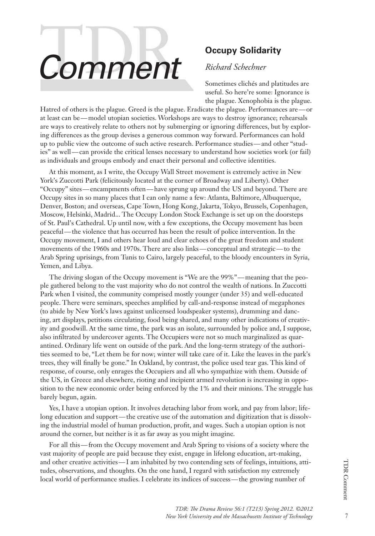# **Comment Comment** *Richard Schechner*

### *Richard Schechner*

Sometimes clichés and platitudes are useful. So here're some: Ignorance is the plague. Xenophobia is the plague.

Hatred of others is the plague. Greed is the plague. Eradicate the plague. Performances are—or at least can be—model utopian societies. Workshops are ways to destroy ignorance; rehearsals are ways to creatively relate to others not by submerging or ignoring differences, but by exploring differences as the group devises a generous common way forward. Performances can hold up to public view the outcome of such active research. Performance studies—and other "studies" as well—can provide the critical lenses necessary to understand how societies work (or fail) as individuals and groups embody and enact their personal and collective identities.

At this moment, as I write, the Occupy Wall Street movement is extremely active in New York's Zuccotti Park (felicitously located at the corner of Broadway and Liberty). Other "Occupy" sites—encampments often—have sprung up around the US and beyond. There are Occupy sites in so many places that I can only name a few: Atlanta, Baltimore, Albuquerque, Denver, Boston; and overseas, Cape Town, Hong Kong, Jakarta, Tokyo, Brussels, Copenhagen, Moscow, Helsinki, Madrid... The Occupy London Stock Exchange is set up on the doorsteps of St. Paul's Cathedral. Up until now, with a few exceptions, the Occupy movement has been peaceful—the violence that has occurred has been the result of police intervention. In the Occupy movement, I and others hear loud and clear echoes of the great freedom and student movements of the 1960s and 1970s. There are also links—conceptual and strategic—to the Arab Spring uprisings, from Tunis to Cairo, largely peaceful, to the bloody encounters in Syria, Yemen, and Libya.

The driving slogan of the Occupy movement is "We are the 99%"—meaning that the people gathered belong to the vast majority who do not control the wealth of nations. In Zuccotti Park when I visited, the community comprised mostly younger (under 35) and well-educated people. There were seminars, speeches amplified by call-and-response instead of megaphones (to abide by New York's laws against unlicensed loudspeaker systems), drumming and dancing, art displays, petitions circulating, food being shared, and many other indications of creativity and goodwill. At the same time, the park was an isolate, surrounded by police and, I suppose, also infiltrated by undercover agents. The Occupiers were not so much marginalized as quarantined. Ordinary life went on outside of the park. And the long-term strategy of the authorities seemed to be, "Let them be for now; winter will take care of it. Like the leaves in the park's trees, they will finally be gone." In Oakland, by contrast, the police used tear gas. This kind of response, of course, only enrages the Occupiers and all who sympathize with them. Outside of the US, in Greece and elsewhere, rioting and incipient armed revolution is increasing in opposition to the new economic order being enforced by the 1% and their minions. The struggle has barely begun, again.

Yes, I have a utopian option. It involves detaching labor from work, and pay from labor; lifelong education and support—the creative use of the automation and digitization that is dissolving the industrial model of human production, profit, and wages. Such a utopian option is not around the corner, but neither is it as far away as you might imagine.

For all this—from the Occupy movement and Arab Spring to visions of a society where the vast majority of people are paid because they exist, engage in lifelong education, art-making, and other creative activities—I am inhabited by two contending sets of feelings, intuitions, attitudes, observations, and thoughts. On the one hand, I regard with satisfaction my extremely local world of performance studies. I celebrate its indices of success—the growing number of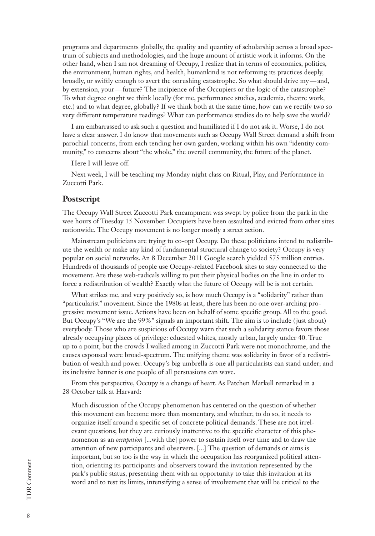programs and departments globally, the quality and quantity of scholarship across a broad spectrum of subjects and methodologies, and the huge amount of artistic work it informs. On the other hand, when I am not dreaming of Occupy, I realize that in terms of economics, politics, the environment, human rights, and health, humankind is not reforming its practices deeply, broadly, or swiftly enough to avert the onrushing catastrophe. So what should drive my—and, by extension, your—future? The incipience of the Occupiers or the logic of the catastrophe? To what degree ought we think locally (for me, performance studies, academia, theatre work, etc.) and to what degree, globally? If we think both at the same time, how can we rectify two so very different temperature readings? What can performance studies do to help save the world?

I am embarrassed to ask such a question and humiliated if I do not ask it. Worse, I do not have a clear answer. I do know that movements such as Occupy Wall Street demand a shift from parochial concerns, from each tending her own garden, working within his own "identity community," to concerns about "the whole," the overall community, the future of the planet.

Here I will leave off.

Next week, I will be teaching my Monday night class on Ritual, Play, and Performance in Zuccotti Park.

#### **Postscript**

The Occupy Wall Street Zuccotti Park encampment was swept by police from the park in the wee hours of Tuesday 15 November. Occupiers have been assaulted and evicted from other sites nationwide. The Occupy movement is no longer mostly a street action.

Mainstream politicians are trying to co-opt Occupy. Do these politicians intend to redistribute the wealth or make any kind of fundamental structural change to society? Occupy is very popular on social networks. An 8 December 2011 Google search yielded 575 million entries. Hundreds of thousands of people use Occupy-related Facebook sites to stay connected to the movement. Are these web-radicals willing to put their physical bodies on the line in order to force a redistribution of wealth? Exactly what the future of Occupy will be is not certain.

What strikes me, and very positively so, is how much Occupy is a "solidarity" rather than "particularist" movement. Since the 1980s at least, there has been no one over-arching progressive movement issue. Actions have been on behalf of some specific group. All to the good. But Occupy's "We are the 99%" signals an important shift. The aim is to include (just about) everybody. Those who are suspicious of Occupy warn that such a solidarity stance favors those already occupying places of privilege: educated whites, mostly urban, largely under 40. True up to a point, but the crowds I walked among in Zuccotti Park were not monochrome, and the causes espoused were broad-spectrum. The unifying theme was solidarity in favor of a redistribution of wealth and power. Occupy's big umbrella is one all particularists can stand under; and its inclusive banner is one people of all persuasions can wave.

From this perspective, Occupy is a change of heart. As Patchen Markell remarked in a 28 October talk at Harvard:

Much discussion of the Occupy phenomenon has centered on the question of whether this movement can become more than momentary, and whether, to do so, it needs to organize itself around a specific set of concrete political demands. These are not irrelevant questions; but they are curiously inattentive to the specific character of this phenomenon as an *occupation* [...with the] power to sustain itself over time and to draw the attention of new participants and observers. [...] The question of demands or aims is important, but so too is the way in which the occupation has reorganized political attention, orienting its participants and observers toward the invitation represented by the park's public status, presenting them with an opportunity to take this invitation at its word and to test its limits, intensifying a sense of involvement that will be critical to the